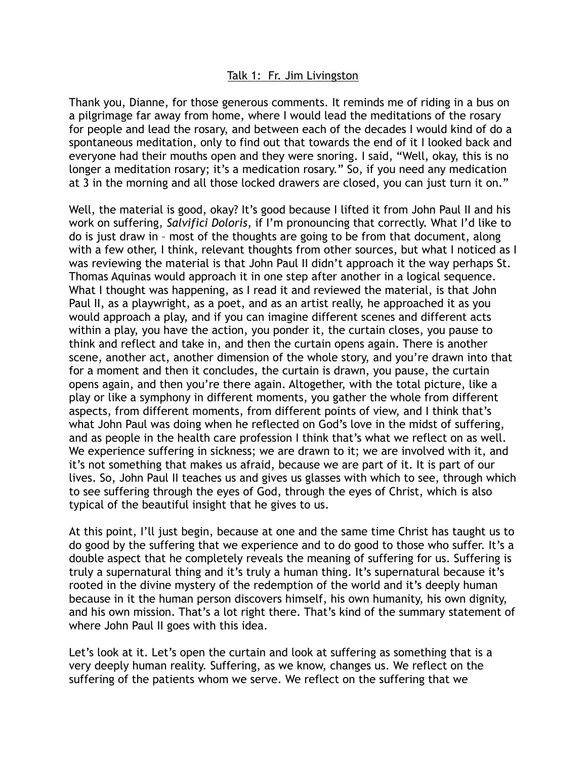## Talk 1: Fr. Jim Livingston

Thank you, Dianne, for those generous comments. It reminds me of riding in a bus on a pilgrimage far away from home, where I would lead the meditations of the rosary for people and lead the rosary, and between each of the decades I would kind of do a spontaneous meditation, only to find out that towards the end of it I looked back and everyone had their mouths open and they were snoring. I said, "Well, okay, this is no longer a meditation rosary; it's a medication rosary." So, if you need any medication at 3 in the morning and all those locked drawers are closed, you can just turn it on."

Well, the material is good, okay? It's good because I lifted it from John Paul II and his work on suffering, *Salvifici Doloris*, if I'm pronouncing that correctly. What I'd like to do is just draw in – most of the thoughts are going to be from that document, along with a few other, I think, relevant thoughts from other sources, but what I noticed as I was reviewing the material is that John Paul II didn't approach it the way perhaps St. Thomas Aquinas would approach it in one step after another in a logical sequence. What I thought was happening, as I read it and reviewed the material, is that John Paul II, as a playwright, as a poet, and as an artist really, he approached it as you would approach a play, and if you can imagine different scenes and different acts within a play, you have the action, you ponder it, the curtain closes, you pause to think and reflect and take in, and then the curtain opens again. There is another scene, another act, another dimension of the whole story, and you're drawn into that for a moment and then it concludes, the curtain is drawn, you pause, the curtain opens again, and then you're there again. Altogether, with the total picture, like a play or like a symphony in different moments, you gather the whole from different aspects, from different moments, from different points of view, and I think that's what John Paul was doing when he reflected on God's love in the midst of suffering, and as people in the health care profession I think that's what we reflect on as well. We experience suffering in sickness; we are drawn to it; we are involved with it, and it's not something that makes us afraid, because we are part of it. It is part of our lives. So, John Paul II teaches us and gives us glasses with which to see, through which to see suffering through the eyes of God, through the eyes of Christ, which is also typical of the beautiful insight that he gives to us.

At this point, I'll just begin, because at one and the same time Christ has taught us to do good by the suffering that we experience and to do good to those who suffer. It's a double aspect that he completely reveals the meaning of suffering for us. Suffering is truly a supernatural thing and it's truly a human thing. It's supernatural because it's rooted in the divine mystery of the redemption of the world and it's deeply human because in it the human person discovers himself, his own humanity, his own dignity, and his own mission. That's a lot right there. That's kind of the summary statement of where John Paul II goes with this idea.

Let's look at it. Let's open the curtain and look at suffering as something that is a very deeply human reality. Suffering, as we know, changes us. We reflect on the suffering of the patients whom we serve. We reflect on the suffering that we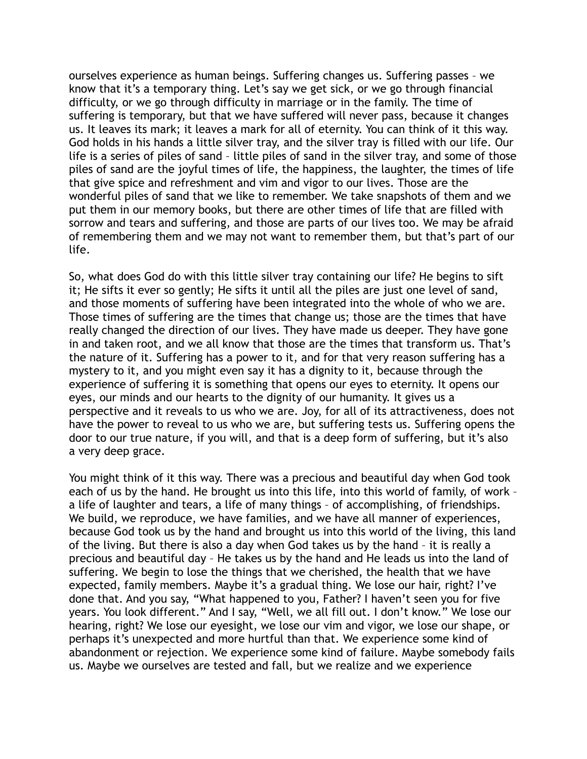ourselves experience as human beings. Suffering changes us. Suffering passes – we know that it's a temporary thing. Let's say we get sick, or we go through financial difficulty, or we go through difficulty in marriage or in the family. The time of suffering is temporary, but that we have suffered will never pass, because it changes us. It leaves its mark; it leaves a mark for all of eternity. You can think of it this way. God holds in his hands a little silver tray, and the silver tray is filled with our life. Our life is a series of piles of sand – little piles of sand in the silver tray, and some of those piles of sand are the joyful times of life, the happiness, the laughter, the times of life that give spice and refreshment and vim and vigor to our lives. Those are the wonderful piles of sand that we like to remember. We take snapshots of them and we put them in our memory books, but there are other times of life that are filled with sorrow and tears and suffering, and those are parts of our lives too. We may be afraid of remembering them and we may not want to remember them, but that's part of our life.

So, what does God do with this little silver tray containing our life? He begins to sift it; He sifts it ever so gently; He sifts it until all the piles are just one level of sand, and those moments of suffering have been integrated into the whole of who we are. Those times of suffering are the times that change us; those are the times that have really changed the direction of our lives. They have made us deeper. They have gone in and taken root, and we all know that those are the times that transform us. That's the nature of it. Suffering has a power to it, and for that very reason suffering has a mystery to it, and you might even say it has a dignity to it, because through the experience of suffering it is something that opens our eyes to eternity. It opens our eyes, our minds and our hearts to the dignity of our humanity. It gives us a perspective and it reveals to us who we are. Joy, for all of its attractiveness, does not have the power to reveal to us who we are, but suffering tests us. Suffering opens the door to our true nature, if you will, and that is a deep form of suffering, but it's also a very deep grace.

You might think of it this way. There was a precious and beautiful day when God took each of us by the hand. He brought us into this life, into this world of family, of work – a life of laughter and tears, a life of many things – of accomplishing, of friendships. We build, we reproduce, we have families, and we have all manner of experiences, because God took us by the hand and brought us into this world of the living, this land of the living. But there is also a day when God takes us by the hand – it is really a precious and beautiful day – He takes us by the hand and He leads us into the land of suffering. We begin to lose the things that we cherished, the health that we have expected, family members. Maybe it's a gradual thing. We lose our hair, right? I've done that. And you say, "What happened to you, Father? I haven't seen you for five years. You look different." And I say, "Well, we all fill out. I don't know." We lose our hearing, right? We lose our eyesight, we lose our vim and vigor, we lose our shape, or perhaps it's unexpected and more hurtful than that. We experience some kind of abandonment or rejection. We experience some kind of failure. Maybe somebody fails us. Maybe we ourselves are tested and fall, but we realize and we experience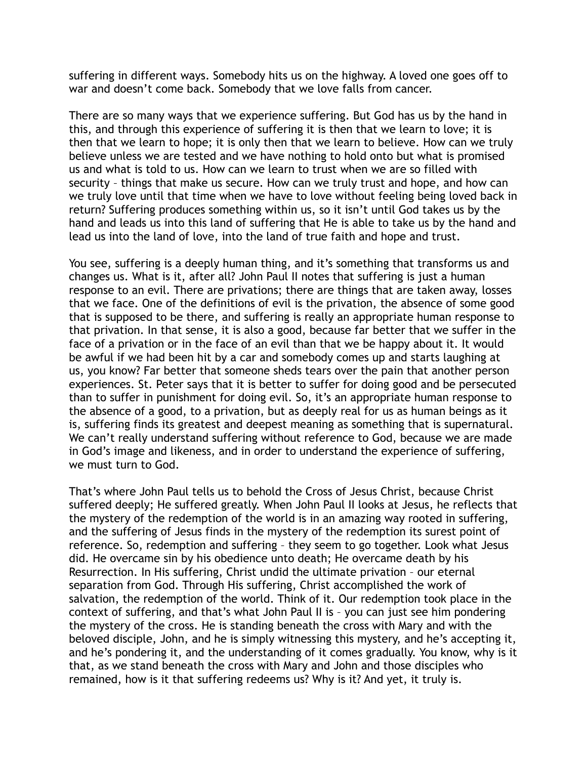suffering in different ways. Somebody hits us on the highway. A loved one goes off to war and doesn't come back. Somebody that we love falls from cancer.

There are so many ways that we experience suffering. But God has us by the hand in this, and through this experience of suffering it is then that we learn to love; it is then that we learn to hope; it is only then that we learn to believe. How can we truly believe unless we are tested and we have nothing to hold onto but what is promised us and what is told to us. How can we learn to trust when we are so filled with security – things that make us secure. How can we truly trust and hope, and how can we truly love until that time when we have to love without feeling being loved back in return? Suffering produces something within us, so it isn't until God takes us by the hand and leads us into this land of suffering that He is able to take us by the hand and lead us into the land of love, into the land of true faith and hope and trust.

You see, suffering is a deeply human thing, and it's something that transforms us and changes us. What is it, after all? John Paul II notes that suffering is just a human response to an evil. There are privations; there are things that are taken away, losses that we face. One of the definitions of evil is the privation, the absence of some good that is supposed to be there, and suffering is really an appropriate human response to that privation. In that sense, it is also a good, because far better that we suffer in the face of a privation or in the face of an evil than that we be happy about it. It would be awful if we had been hit by a car and somebody comes up and starts laughing at us, you know? Far better that someone sheds tears over the pain that another person experiences. St. Peter says that it is better to suffer for doing good and be persecuted than to suffer in punishment for doing evil. So, it's an appropriate human response to the absence of a good, to a privation, but as deeply real for us as human beings as it is, suffering finds its greatest and deepest meaning as something that is supernatural. We can't really understand suffering without reference to God, because we are made in God's image and likeness, and in order to understand the experience of suffering, we must turn to God.

That's where John Paul tells us to behold the Cross of Jesus Christ, because Christ suffered deeply; He suffered greatly. When John Paul II looks at Jesus, he reflects that the mystery of the redemption of the world is in an amazing way rooted in suffering, and the suffering of Jesus finds in the mystery of the redemption its surest point of reference. So, redemption and suffering – they seem to go together. Look what Jesus did. He overcame sin by his obedience unto death; He overcame death by his Resurrection. In His suffering, Christ undid the ultimate privation – our eternal separation from God. Through His suffering, Christ accomplished the work of salvation, the redemption of the world. Think of it. Our redemption took place in the context of suffering, and that's what John Paul II is – you can just see him pondering the mystery of the cross. He is standing beneath the cross with Mary and with the beloved disciple, John, and he is simply witnessing this mystery, and he's accepting it, and he's pondering it, and the understanding of it comes gradually. You know, why is it that, as we stand beneath the cross with Mary and John and those disciples who remained, how is it that suffering redeems us? Why is it? And yet, it truly is.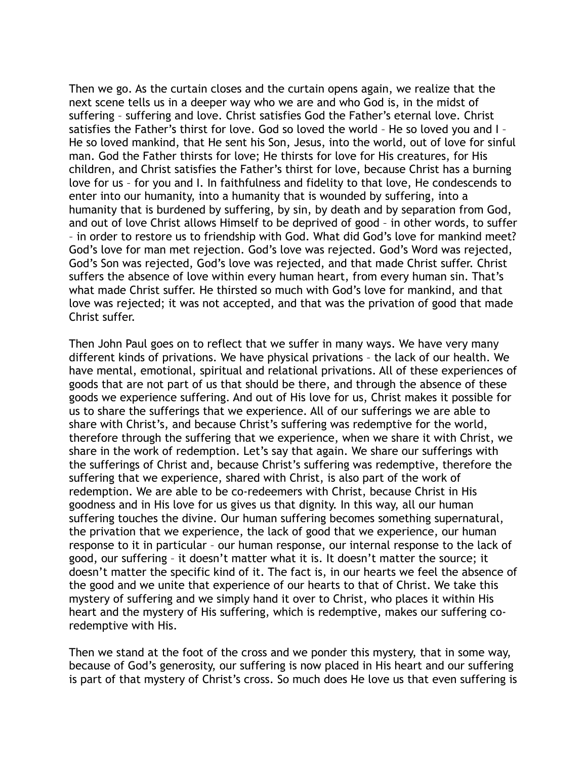Then we go. As the curtain closes and the curtain opens again, we realize that the next scene tells us in a deeper way who we are and who God is, in the midst of suffering – suffering and love. Christ satisfies God the Father's eternal love. Christ satisfies the Father's thirst for love. God so loved the world – He so loved you and I – He so loved mankind, that He sent his Son, Jesus, into the world, out of love for sinful man. God the Father thirsts for love; He thirsts for love for His creatures, for His children, and Christ satisfies the Father's thirst for love, because Christ has a burning love for us – for you and I. In faithfulness and fidelity to that love, He condescends to enter into our humanity, into a humanity that is wounded by suffering, into a humanity that is burdened by suffering, by sin, by death and by separation from God, and out of love Christ allows Himself to be deprived of good – in other words, to suffer – in order to restore us to friendship with God. What did God's love for mankind meet? God's love for man met rejection. God's love was rejected. God's Word was rejected, God's Son was rejected, God's love was rejected, and that made Christ suffer. Christ suffers the absence of love within every human heart, from every human sin. That's what made Christ suffer. He thirsted so much with God's love for mankind, and that love was rejected; it was not accepted, and that was the privation of good that made Christ suffer.

Then John Paul goes on to reflect that we suffer in many ways. We have very many different kinds of privations. We have physical privations – the lack of our health. We have mental, emotional, spiritual and relational privations. All of these experiences of goods that are not part of us that should be there, and through the absence of these goods we experience suffering. And out of His love for us, Christ makes it possible for us to share the sufferings that we experience. All of our sufferings we are able to share with Christ's, and because Christ's suffering was redemptive for the world, therefore through the suffering that we experience, when we share it with Christ, we share in the work of redemption. Let's say that again. We share our sufferings with the sufferings of Christ and, because Christ's suffering was redemptive, therefore the suffering that we experience, shared with Christ, is also part of the work of redemption. We are able to be co-redeemers with Christ, because Christ in His goodness and in His love for us gives us that dignity. In this way, all our human suffering touches the divine. Our human suffering becomes something supernatural, the privation that we experience, the lack of good that we experience, our human response to it in particular – our human response, our internal response to the lack of good, our suffering – it doesn't matter what it is. It doesn't matter the source; it doesn't matter the specific kind of it. The fact is, in our hearts we feel the absence of the good and we unite that experience of our hearts to that of Christ. We take this mystery of suffering and we simply hand it over to Christ, who places it within His heart and the mystery of His suffering, which is redemptive, makes our suffering coredemptive with His.

Then we stand at the foot of the cross and we ponder this mystery, that in some way, because of God's generosity, our suffering is now placed in His heart and our suffering is part of that mystery of Christ's cross. So much does He love us that even suffering is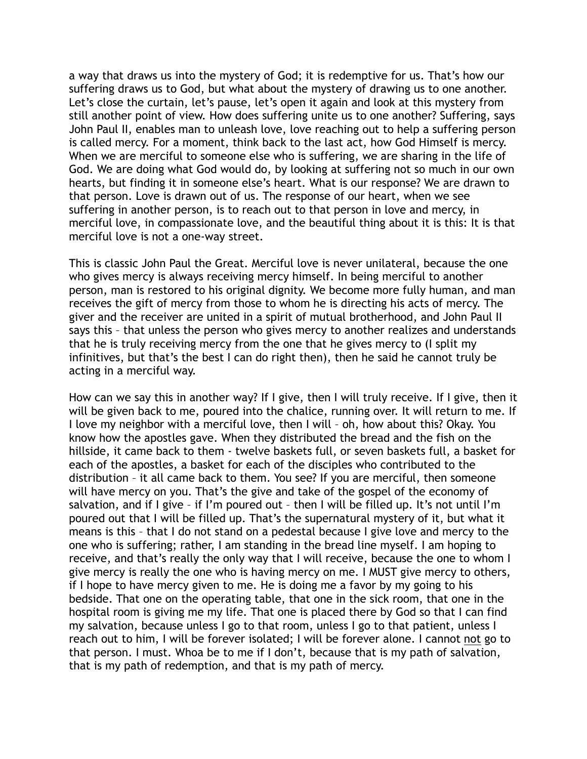a way that draws us into the mystery of God; it is redemptive for us. That's how our suffering draws us to God, but what about the mystery of drawing us to one another. Let's close the curtain, let's pause, let's open it again and look at this mystery from still another point of view. How does suffering unite us to one another? Suffering, says John Paul II, enables man to unleash love, love reaching out to help a suffering person is called mercy. For a moment, think back to the last act, how God Himself is mercy. When we are merciful to someone else who is suffering, we are sharing in the life of God. We are doing what God would do, by looking at suffering not so much in our own hearts, but finding it in someone else's heart. What is our response? We are drawn to that person. Love is drawn out of us. The response of our heart, when we see suffering in another person, is to reach out to that person in love and mercy, in merciful love, in compassionate love, and the beautiful thing about it is this: It is that merciful love is not a one-way street.

This is classic John Paul the Great. Merciful love is never unilateral, because the one who gives mercy is always receiving mercy himself. In being merciful to another person, man is restored to his original dignity. We become more fully human, and man receives the gift of mercy from those to whom he is directing his acts of mercy. The giver and the receiver are united in a spirit of mutual brotherhood, and John Paul II says this – that unless the person who gives mercy to another realizes and understands that he is truly receiving mercy from the one that he gives mercy to (I split my infinitives, but that's the best I can do right then), then he said he cannot truly be acting in a merciful way.

How can we say this in another way? If I give, then I will truly receive. If I give, then it will be given back to me, poured into the chalice, running over. It will return to me. If I love my neighbor with a merciful love, then I will – oh, how about this? Okay. You know how the apostles gave. When they distributed the bread and the fish on the hillside, it came back to them - twelve baskets full, or seven baskets full, a basket for each of the apostles, a basket for each of the disciples who contributed to the distribution – it all came back to them. You see? If you are merciful, then someone will have mercy on you. That's the give and take of the gospel of the economy of salvation, and if I give – if I'm poured out – then I will be filled up. It's not until I'm poured out that I will be filled up. That's the supernatural mystery of it, but what it means is this – that I do not stand on a pedestal because I give love and mercy to the one who is suffering; rather, I am standing in the bread line myself. I am hoping to receive, and that's really the only way that I will receive, because the one to whom I give mercy is really the one who is having mercy on me. I MUST give mercy to others, if I hope to have mercy given to me. He is doing me a favor by my going to his bedside. That one on the operating table, that one in the sick room, that one in the hospital room is giving me my life. That one is placed there by God so that I can find my salvation, because unless I go to that room, unless I go to that patient, unless I reach out to him, I will be forever isolated; I will be forever alone. I cannot not go to that person. I must. Whoa be to me if I don't, because that is my path of salvation, that is my path of redemption, and that is my path of mercy.